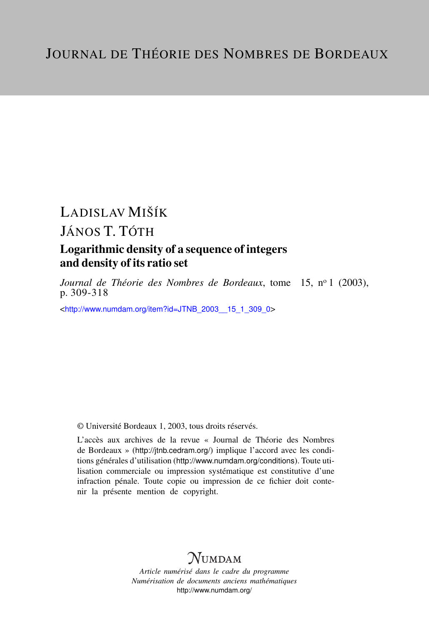# LADISLAV MIŠÍK JÁNOS T. TÓTH Logarithmic density of a sequence of integers and density of its ratio set

*Journal de Théorie des Nombres de Bordeaux*, tome 15, nº 1 (2003), p. 309-318

<[http://www.numdam.org/item?id=JTNB\\_2003\\_\\_15\\_1\\_309\\_0](http://www.numdam.org/item?id=JTNB_2003__15_1_309_0)>

© Université Bordeaux 1, 2003, tous droits réservés.

L'accès aux archives de la revue « Journal de Théorie des Nombres de Bordeaux » (<http://jtnb.cedram.org/>) implique l'accord avec les conditions générales d'utilisation (<http://www.numdam.org/conditions>). Toute utilisation commerciale ou impression systématique est constitutive d'une infraction pénale. Toute copie ou impression de ce fichier doit contenir la présente mention de copyright.

## **NUMDAM**

*Article numérisé dans le cadre du programme Numérisation de documents anciens mathématiques* <http://www.numdam.org/>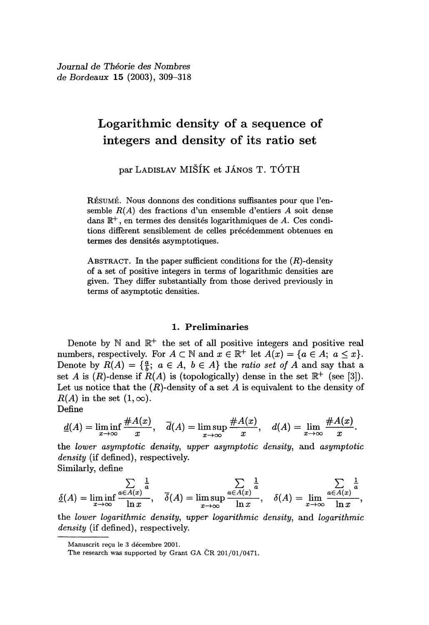Journal de Théorie des Nombres de Bordeaux 15 (2003), 309-318

### Logarithmic density of a sequence of integers and density of its ratio set

par LADISLAV MIŠÍK et JÁNOS T. TÓTH

RÉSUMÉ. Nous donnons des conditions suffisantes pour que l'ensemble  $R(A)$  des fractions d'un ensemble d'entiers A soit dense dans  $\mathbb{R}^+$ , en termes des densités logarithmiques de A. Ces conditions different sensiblement de celles précédemment obtenues en termes des densités asymptotiques.

ABSTRACT. In the paper sufficient conditions for the  $(R)$ -density of a set of positive integers in terms of logarithmic densities are given. They differ substantially from those derived previously in terms of asymptotic densities.

#### 1. Preliminaries

Denote by  $\mathbb N$  and  $\mathbb R^+$  the set of all positive integers and positive real numbers, respectively. For  $A \subset \mathbb{N}$  and  $x \in \mathbb{R}^+$  let  $A(x) = \{a \in A; a \leq x\}.$ Denote by  $R(A) = \{\frac{a}{b} : a \in A, b \in A\}$  the ratio set of A and say that a set A is  $(R)$ -dense if  $R(A)$  is (topologically) dense in the set  $\mathbb{R}^+$  (see [3]). Let us notice that the  $(R)$ -density of a set A is equivalent to the density of  $R(A)$  in the set  $(1, \infty)$ .<br>Define 1. Preliminaries<br>
1. Preliminaries<br>
Denote by N and  $\mathbb{R}^+$  the set of all positive integers and positive real<br>
numbers, respectively. For  $A \subset \mathbb{N}$  and  $x \in \mathbb{R}^+$  let  $A(x) = \{a \in A; a \le x\}$ .<br>
Denote by  $R(A) = \{\frac{a}{b};$ 

$$
\underline{d}(A) = \liminf_{x \to \infty} \frac{\#A(x)}{x}, \quad \overline{d}(A) = \limsup_{x \to \infty} \frac{\#A(x)}{x}, \quad d(A) = \lim_{x \to \infty} \frac{\#A(x)}{x}.
$$

the lower asymptotic density, upper asymptotic density, and asymptotic density (if defined), respectively.<br>
Similarly, define  $\sum_{n=1}^{\infty} \frac{1}{n}$   $\sum_{n=1}^{\infty} \frac{1}{n}$   $\sum_{n=1}^{\infty} \frac{1}{n}$ 

$$
\underline{\delta}(A) = \liminf_{x \to \infty} \frac{\sum_{a \in A(x)} \frac{1}{a}}{\ln x}, \quad \overline{\delta}(A) = \limsup_{x \to \infty} \frac{\sum_{a \in A(x)} \frac{1}{a}}{\ln x}, \quad \delta(A) = \lim_{x \to \infty} \frac{\sum_{a \in A(x)} \frac{1}{a}}{\ln x},
$$

the lower logarithmic density, upper logarithmic density, and logarithmic density (if defined), respectively.

Manuscrit reçu le 3 décembre 2001.

The research was supported by Grant GA CR 201/01/0471.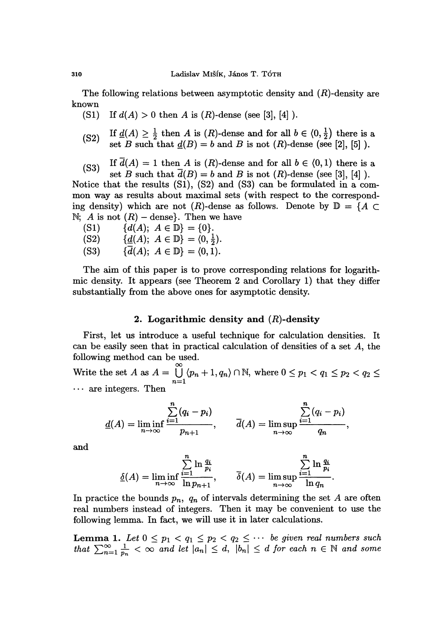The following relations between asymptotic density and  $(R)$ -density are known

 $(S1)$ If  $d(A) > 0$  then A is  $(R)$ -dense (see [3], [4]).

- (S2) If  $\underline{d}(A) \geq \frac{1}{2}$  then A is  $(R)$ -dense and for all  $b \in \langle 0, \frac{1}{2} \rangle$  there is a set B such that  $\underline{d}(B) = b$  and B is not  $(R)$ -dense (see [2], [5] ).
- (S3) If  $d(A) = 1$  then A is  $(R)$ -dense and for all  $b \in (0,1)$  there is a set B such that  $\overline{d}(B) = b$  and B is not  $(R)$ -dense (see [3], [4] ).

Notice that the results (Sl), (S2) and (S3) can be formulated in a common way as results about maximal sets (with respect to the corresponding density) which are not  $(R)$ -dense as follows. Denote by  $\mathbb{D} = \{A \subset$ N; A is not  $(R)$  - dense}. Then we have<br>  $(S1)$   $\{d(A); A \in \mathbb{D}\} = \{0\}.$ 

 $(S1)$  $\{\underline{d}(A); A \in \mathbb{D}\} = \langle 0, \frac{1}{2} \rangle.$  $(S2)$  $\{\overline{d}(A): A \in \mathbb{D}\} = \langle 0, 1 \rangle$ .  $(S3)$ 

The aim of this paper is to prove corresponding relations for logarithmic density. It appears (see Theorem 2 and Corollary 1) that they differ substantially from the above ones for asymptotic density.

### 2. Logarithmic density and  $(R)$ -density

First, let us introduce a useful technique for calculation densities. It can be easily seen that in practical calculation of densities of a set A, the following method can be used.

Write the set A as  $A = \bigcup_{n=1}^{\infty} \langle p_n + 1, q_n \rangle \cap \mathbb{N}$ , where  $0 \le p_1 < q_1 \le p_2 < q_2 \le$ ... are integers. Then

$$
\underline{d}(A) = \liminf_{n \to \infty} \frac{\sum_{i=1}^{n} (q_i - p_i)}{p_{n+1}}, \qquad \overline{d}(A) = \limsup_{n \to \infty} \frac{\sum_{i=1}^{n} (q_i - p_i)}{q_n},
$$

and

$$
\underline{\delta}(A) = \liminf_{n \to \infty} \frac{\sum_{i=1}^{n} \ln \frac{q_i}{p_i}}{\ln p_{n+1}}, \qquad \overline{\delta}(A) = \limsup_{n \to \infty} \frac{\sum_{i=1}^{n} \ln \frac{q_i}{p_i}}{\ln q_n}.
$$

In practice the bounds  $p_n$ ,  $q_n$  of intervals determining the set A are often real numbers instead of integers. Then it may be convenient to use the following lemma. In fact, we will use it in later calculations. In practice the bounds  $p_n$ ,  $q_n$  of intervals determining the set A are often<br>real numbers instead of integers. Then it may be convenient to use the<br>following lemma. In fact, we will use it in later calculations.<br>Lemma 1

**Lemma 1.** Let  $0 \leq p_1 < q_1 \leq p_2 < q_2 \leq \cdots$  be given real numbers such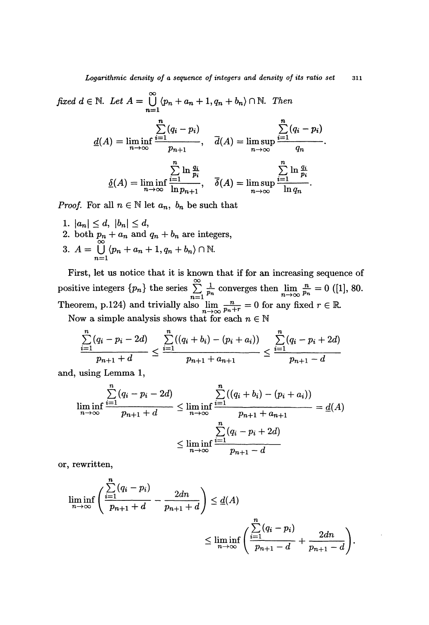fixed 
$$
d \in \mathbb{N}
$$
. Let  $A = \bigcup_{n=1}^{\infty} \langle p_n + a_n + 1, q_n + b_n \rangle \cap \mathbb{N}$ . Then  
\n
$$
\frac{\sum_{n=1}^{n} (q_i - p_i)}{d(A) = \liminf_{n \to \infty} \frac{\sum_{i=1}^{n} (q_i - p_i)}{p_{n+1}}}, \quad \overline{d}(A) = \limsup_{n \to \infty} \frac{\sum_{i=1}^{n} (q_i - p_i)}{q_n}.
$$
\n
$$
\underline{\delta}(A) = \liminf_{n \to \infty} \frac{\sum_{i=1}^{n} \ln \frac{q_i}{p_i}}{\ln p_{n+1}}, \quad \overline{\delta}(A) = \limsup_{n \to \infty} \frac{\sum_{i=1}^{n} \ln \frac{q_i}{p_i}}{\ln q_n}.
$$

*Proof.* For all  $n \in \mathbb{N}$  let  $a_n$ ,  $b_n$  be such that

1.  $|a_n| \leq d$ ,  $|b_n| \leq d$ ,<br>
2. both  $p_n + a_n$  and  $q_n + b_n$  are integers,<br>
3.  $A = \bigcup_{n=1}^{\infty} \langle p_n + a_n + 1, q_n + b_n \rangle \cap \mathbb{N}$ .

First, let us notice that it is known that if for an increasing sequence of positive integers  $\{p_n\}$  the series  $\sum_{n=1}^{\infty} \frac{1}{p_n}$  converges then  $\lim_{n \to \infty} \frac{n}{p_n} = 0$  ([1], 80. Theorem, p.124) and trivially also  $\lim_{n \to \infty} \frac{n}{p_n + r} = 0$  for any fixed  $r \in \mathbb{R}$ .

Now a simple analysis shows that for each  $n \in \mathbb{N}$ 

$$
\frac{\sum_{i=1}^{n}(q_i - p_i - 2d)}{p_{n+1} + d} \le \frac{\sum_{i=1}^{n}((q_i + b_i) - (p_i + a_i))}{p_{n+1} + a_{n+1}} \le \frac{\sum_{i=1}^{n}(q_i - p_i + 2d)}{p_{n+1} - d}
$$

and, using Lemma 1,

$$
\liminf_{n \to \infty} \frac{\sum_{i=1}^{n} (q_i - p_i - 2d)}{p_{n+1} + d} \le \liminf_{n \to \infty} \frac{\sum_{i=1}^{n} ((q_i + b_i) - (p_i + a_i))}{p_{n+1} + a_{n+1}} = \underline{d}(A)
$$

$$
\le \liminf_{n \to \infty} \frac{\sum_{i=1}^{n} (q_i - p_i + 2d)}{p_{n+1} - d}
$$

or, rewritten,

$$
\liminf_{n \to \infty} \left( \frac{\sum_{i=1}^{n} (q_i - p_i)}{p_{n+1} + d} - \frac{2dn}{p_{n+1} + d} \right) \le \underline{d}(A)
$$
\n
$$
\le \liminf_{n \to \infty} \left( \frac{\sum_{i=1}^{n} (q_i - p_i)}{p_{n+1} - d} + \frac{2dn}{p_{n+1} - d} \right).
$$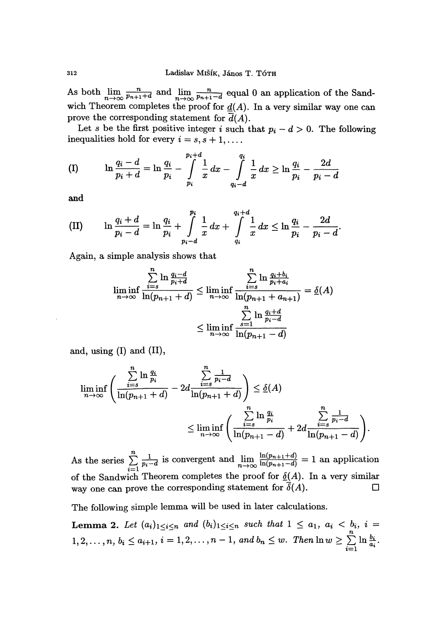As both  $\lim_{n\to\infty} \frac{n}{p_{n+1}+d}$  and  $\lim_{n\to\infty} \frac{n}{p_{n+1}-d}$  equal 0 an application of the Sandwich Theorem completes the proof for  $\underline{d}(A)$ . In a very similar way one can prove the corresponding statement for  $\overline{d}(A)$ .

Let s be the first positive integer i such that  $p_i - d > 0$ . The following inequalities hold for every  $i = s, s + 1, \ldots$ .

$$
\text{(I)} \qquad \ln \frac{q_i - d}{p_i + d} = \ln \frac{q_i}{p_i} - \int\limits_{p_i}^{p_i + d} \frac{1}{x} \, dx - \int\limits_{q_i - d}^{q_i} \frac{1}{x} \, dx \ge \ln \frac{q_i}{p_i} - \frac{2d}{p_i - d}
$$

and

(II) 
$$
\ln \frac{q_i + d}{p_i - d} = \ln \frac{q_i}{p_i} + \int_{p_i - d}^{p_i} \frac{1}{x} dx + \int_{q_i}^{q_i + d} \frac{1}{x} dx \le \ln \frac{q_i}{p_i} - \frac{2d}{p_i - d}.
$$

Again, a simple analysis shows that

$$
\liminf_{n \to \infty} \frac{\sum\limits_{i=s}^{n} \ln \frac{q_i - d}{p_i + d}}{\ln(p_{n+1} + d)} \le \liminf_{n \to \infty} \frac{\sum\limits_{i=s}^{n} \ln \frac{q_i + b_i}{p_i + a_i}}{\ln(p_{n+1} + a_{n+1})} = \underline{\delta}(A)
$$
\n
$$
\le \liminf_{n \to \infty} \frac{\sum\limits_{s=1}^{n} \ln \frac{q_i + d}{p_i - d}}{\ln(p_{n+1} - d)}
$$

and, using (I) and (II),

$$
\liminf_{n \to \infty} \left( \frac{\sum_{i=s}^{n} \ln \frac{q_i}{p_i}}{\ln(p_{n+1} + d)} - 2d \frac{\sum_{i=s}^{n} \frac{1}{p_i - d}}{\ln(p_{n+1} + d)} \right) \leq \underline{\delta}(A) \leq \liminf_{n \to \infty} \left( \frac{\sum_{i=s}^{n} \ln \frac{q_i}{p_i}}{\ln(p_{n+1} - d)} + 2d \frac{\sum_{i=s}^{n} \frac{1}{p_i - d}}{\ln(p_{n+1} - d)} \right).
$$

As the series  $\sum_{i=1}^{n} \frac{1}{p_i - d}$  is convergent and  $\lim_{n \to \infty} \frac{\ln(p_{n+1} + d)}{\ln(p_{n+1} - d)} = 1$  an application of the Sandwich Theorem completes the proof for  $\underline{\delta}(A)$ . In a very similar way one can prove the corresponding statement for  $\delta(A)$ .

The following simple lemma will be used in later calculations.

**Lemma 2.** Let 
$$
(a_i)_{1 \leq i \leq n}
$$
 and  $(b_i)_{1 \leq i \leq n}$  such that  $1 \leq a_1$ ,  $a_i < b_i$ ,  $i = 1, 2, \ldots, n$ ,  $b_i \leq a_{i+1}$ ,  $i = 1, 2, \ldots, n-1$ , and  $b_n \leq w$ . Then  $\ln w \geq \sum_{i=1}^n \ln \frac{b_i}{a_i}$ .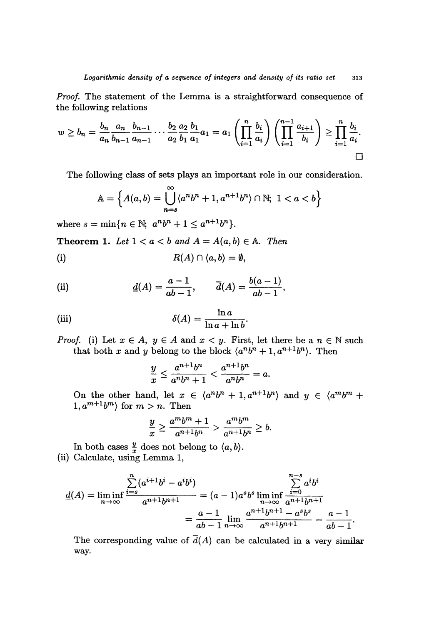Proof. The statement of the Lemma is a straightforward consequence of the following relations

$$
w \ge b_n = \frac{b_n}{a_n} \frac{a_n}{b_{n-1}} \frac{b_{n-1}}{a_{n-1}} \cdots \frac{b_2}{a_2} \frac{a_2}{b_1} \frac{b_1}{a_1} a_1 = a_1 \left( \prod_{i=1}^n \frac{b_i}{a_i} \right) \left( \prod_{i=1}^{n-1} \frac{a_{i+1}}{b_i} \right) \ge \prod_{i=1}^n \frac{b_i}{a_i}.
$$

The following class of sets plays an important role in our consideration.

$$
\mathbb{A} = \left\{ A(a,b) = \bigcup_{n=s}^{\infty} \langle a^n b^n + 1, a^{n+1} b^n \rangle \cap \mathbb{N}; \ 1 < a < b \right\}
$$

where  $s = \min\{n \in \mathbb{N}; a^n b^n + 1 \le a^{n+1} b^n\}.$ 

**Theorem 1.** Let  $1 < a < b$  and  $A = A(a, b) \in A$ . Then

(i) 
$$
R(A) \cap \langle a,b \rangle = \emptyset,
$$

(ii) 
$$
\underline{d}(A) = \frac{a-1}{ab-1}, \qquad \overline{d}(A) = \frac{b(a-1)}{ab-1},
$$

(iii) 
$$
\delta(A) = \frac{\ln a}{\ln a + \ln b}.
$$

*Proof.* (i) Let  $x \in A$ ,  $y \in A$  and  $x < y$ . First, let there be a  $n \in \mathbb{N}$  such that both x and y belong to the block  $\langle a^n b^n + 1, a^{n+1} b^n \rangle$ . Then

$$
\frac{y}{x} \le \frac{a^{n+1}b^n}{a^n b^n + 1} < \frac{a^{n+1}b^n}{a^n b^n} = a.
$$

On the other hand, let  $x \in \langle a^n b^n + 1, a^{n+1} b^n \rangle$  and  $y \in \langle a^m b^m +$  $1, a^{m+1}b^m$  for  $m > n$ . Then

$$
\frac{y}{x} \ge \frac{a^m b^m + 1}{a^{n+1} b^n} > \frac{a^m b^m}{a^{n+1} b^n} \ge b.
$$

In both cases  $\frac{y}{x}$  does not belong to  $\langle a, b \rangle$ . (ii) Calculate, using Lemma 1,

$$
\underline{d}(A) = \liminf_{n \to \infty} \frac{\sum_{i=s}^{n} (a^{i+1}b^i - a^ib^i)}{a^{n+1}b^{n+1}} = (a-1)a^s b^s \liminf_{n \to \infty} \frac{\sum_{i=0}^{n-s} a^ib^i}{a^{n+1}b^{n+1}} = \frac{a-1}{ab-1} \lim_{n \to \infty} \frac{a^{n+1}b^{n+1} - a^s b^s}{a^{n+1}b^{n+1}} = \frac{a-1}{ab-1}.
$$

The corresponding value of  $\overline{d}(A)$  can be calculated in a very similar way.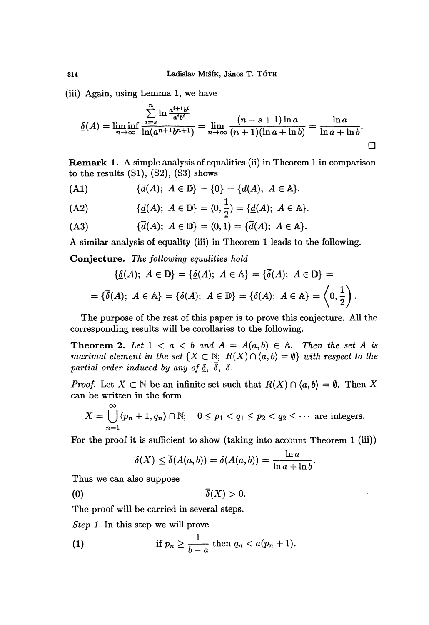(iii) Again, using Lemma 1, we have

$$
\underline{\delta}(A) = \liminf_{n \to \infty} \frac{\sum_{i=s}^{n} \ln \frac{a^{i+1}b^{i}}{a^{i}b^{i}}}{\ln(a^{n+1}b^{n+1})} = \lim_{n \to \infty} \frac{(n-s+1)\ln a}{(n+1)(\ln a + \ln b)} = \frac{\ln a}{\ln a + \ln b}.
$$

Remark 1. A simple analysis of equalities (ii) in Theorem 1 in comparison to the results  $(S1)$ ,  $(S2)$ ,  $(S3)$  shows

(A1) 
$$
\{d(A); A \in \mathbb{D}\} = \{0\} = \{d(A); A \in \mathbb{A}\}.
$$

(A2) 
$$
\{ \underline{d}(A); \ A \in \mathbb{D} \} = \langle 0, \frac{1}{2} \rangle = \{ \underline{d}(A); \ A \in \mathbb{A} \}.
$$

$$
(A3) \qquad \qquad {\overline{d}}(A); \ A \in \mathbb{D} \} = \langle 0,1 \rangle = {\overline{d}}(A); \ A \in \mathbb{A} \}.
$$

A similar analysis of equality (iii) in Theorem 1 leads to the following.

Conjecture. The following equalities hold

$$
\{\underline{\delta}(A); \ A \in \mathbb{D}\} = \{\underline{\delta}(A); \ A \in \mathbb{A}\} = \{\overline{\delta}(A); \ A \in \mathbb{D}\} =
$$

$$
= \{\overline{\delta}(A); \ A \in \mathbb{A}\} = \{\delta(A); \ A \in \mathbb{D}\} = \{\delta(A); \ A \in \mathbb{A}\} = \left(0, \frac{1}{2}\right).
$$

The purpose of the rest of this paper is to prove this conjecture. All the corresponding results will be corollaries to the following.

**Theorem 2.** Let  $1 < a < b$  and  $A = A(a, b) \in A$ . Then the set A is maximal element in the set  $\{X \subset \mathbb{N}; R(X) \cap \langle a,b \rangle = \emptyset\}$  with respect to the partial order induced by any of  $\underline{\delta}$ ,  $\overline{\delta}$ ,  $\delta$ .

*Proof.* Let  $X \subset \mathbb{N}$  be an infinite set such that  $R(X) \cap \langle a, b \rangle = \emptyset$ . Then X can be written in the form

$$
X = \bigcup_{n=1}^{\infty} \langle p_n + 1, q_n \rangle \cap \mathbb{N}; \quad 0 \leq p_1 < q_1 \leq p_2 < q_2 \leq \cdots \text{ are integers.}
$$

For the proof it is sufficient to show (taking into account Theorem 1 (iii))

$$
\overline{\delta}(X) \leq \overline{\delta}(A(a,b)) = \delta(A(a,b)) = \frac{\ln a}{\ln a + \ln b}.
$$

Thus we can also suppose

 $\infty$ 

 $\overline{\delta}(X) > 0.$  $(0)$ 

The proof will be carried in several steps.

Step 1. In this step we will prove

(1) if 
$$
p_n \geq \frac{1}{b-a}
$$
 then  $q_n < a(p_n+1)$ .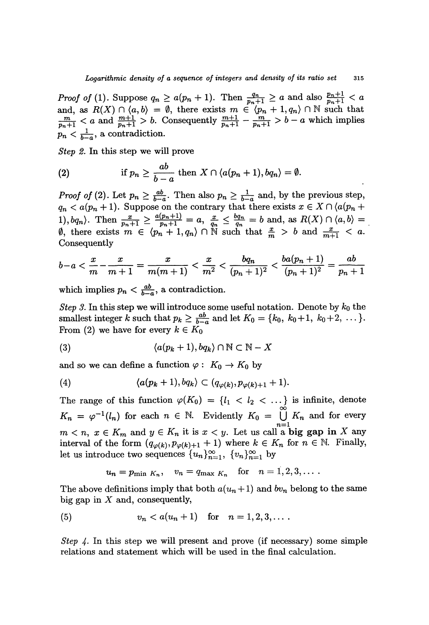Logarithmic density of a sequence of integers and density of its ratio set 315<br>Proof of (1). Suppose  $q_n \ge a(p_n + 1)$ . Then  $\frac{q_n}{p_n + 1} \ge a$  and also  $\frac{p_n + 1}{p_n + 1} < a$ and, as  $R(X) \cap \langle a, b \rangle = \emptyset$ , there exists  $m \in \langle p_n + 1, q_n \rangle \cap \mathbb{N}$  such that a and  $\frac{m+1}{p_n+1} > b$ . Consequently  $\frac{m+1}{p_n+1} - \frac{m}{p_n+1} > b - a$  which implies  $p_n < \frac{1}{b-a}$ , a contradiction.

Step 2. In this step we will prove

(2) if 
$$
p_n \ge \frac{ab}{b-a}
$$
 then  $X \cap \langle a(p_n+1), bq_n \rangle = \emptyset$ .

*Proof of* (2). Let  $p_n \geq \frac{ab}{b-a}$ . Then also  $p_n \geq \frac{1}{b-a}$  and, by the previous step,  $q_n < a(p_n + 1)$ . Suppose on the contrary that there exists  $x \in X \cap (a(p_n +$ Then  $\frac{x}{p_n+1} \ge \frac{a(p_n+1)}{p_n+1} = a, \frac{x}{q_n} \le \frac{b q_n}{q_n} = b$  and, as  $R(X) \cap \langle a, b \rangle =$  $\oint_{0}^{n+1}$ , there exists  $m \in \langle p_n + 1, q_n \rangle \cap \mathbb{N}$  such that  $\frac{x}{m} > b$  and  $\frac{x}{m+1} < a$ . Consequently

$$
b-a < \frac{x}{m} - \frac{x}{m+1} = \frac{x}{m(m+1)} < \frac{x}{m^2} < \frac{bq_n}{(p_n+1)^2} < \frac{ba(p_n+1)}{(p_n+1)^2} = \frac{ab}{p_n+1}
$$

which implies  $p_n < \frac{ab}{b-a}$ , a contradiction.

*Step 3.* In this step we will introduce some useful notation. Denote by  $k_0$  the smallest integer k such that  $p_k \geq \frac{ab}{b-a}$  and let  $K_0 = \{k_0, k_0+1, k_0+2, \ldots\}.$ From (2) we have for every  $k \in K_0$ 

$$
(3) \qquad \qquad \langle a(p_k+1), bq_k \rangle \cap \mathbb{N} \subset \mathbb{N} - X
$$

and so we can define a function  $\varphi: K_0 \to K_0$  by

(4) 
$$
\langle a(p_k+1),bq_k\rangle\subset (q_{\varphi(k)},p_{\varphi(k)+1}+1).
$$

The range of this function  $\varphi(K_0) = \{l_1 < l_2 < \dots \}$  is infinite, denote  $K_n = \varphi^{-1}(l_n)$  for each  $n \in \mathbb{N}$ . Evidently  $K_0 = \bigcup_{n=1}^{\infty} K_n$  and for every  $m < n, x \in K_m$  and  $y \in K_n$  it is  $x < y$ . Let us call a **big gap in** X any interval of the form  $(q_{\varphi(k)}, p_{\varphi(k)+1} + 1)$  where  $k \in K_n$  for  $n \in \mathbb{N}$ . Finally, let us introduce two sequences  ${u_n}_{n=1}^{\infty}$ ,  ${v_n}_{n=1}^{\infty}$  by

$$
u_n = p_{\min K_n}, \quad v_n = q_{\max K_n} \quad \text{for} \quad n = 1, 2, 3, \dots.
$$

The above definitions imply that both  $a(u_n+1)$  and  $bv_n$  belong to the same big gap in  $X$  and, consequently,

(5) 
$$
v_n < a(u_n + 1)
$$
 for  $n = 1, 2, 3, ...$ 

Step 4. In this step we will present and prove (if necessary) some simple relations and statement which will be used in the final calculation.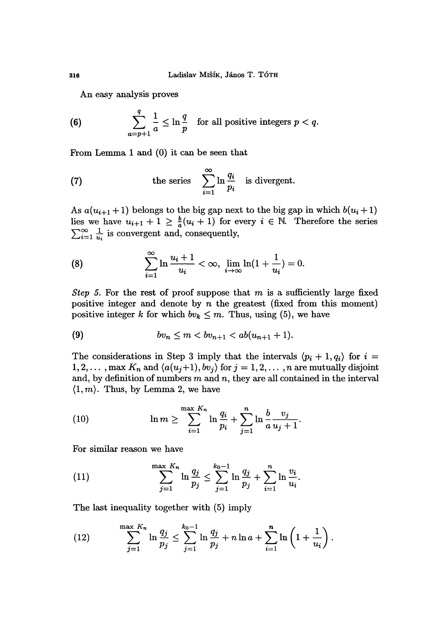An easy analysis proves

(6) 
$$
\sum_{a=p+1}^{q} \frac{1}{a} \leq \ln \frac{q}{p} \text{ for all positive integers } p < q.
$$

From Lemma 1 and (0) it can be seen that

(7) the series 
$$
\sum_{i=1}^{\infty} \ln \frac{q_i}{p_i}
$$
 is divergent.

As  $a(u_{i+1}+1)$  belongs to the big gap next to the big gap in which  $b(u_i+1)$ lies we have  $u_{i+1} + 1 \geq \frac{b}{a}(u_i + 1)$  for every  $i \in \mathbb{N}$ . Therefore the series  $\sum_{i=1}^{\infty} \frac{1}{u_i}$  is convergent and, consequently,

(8) 
$$
\sum_{i=1}^{\infty} \ln \frac{u_i + 1}{u_i} < \infty, \ \lim_{i \to \infty} \ln(1 + \frac{1}{u_i}) = 0.
$$

Step 5. For the rest of proof suppose that  $m$  is a sufficiently large fixed positive integer and denote by  $n$  the greatest (fixed from this moment) positive integer k for which  $bv_k \leq m$ . Thus, using (5), we have

(9) 
$$
bv_n \leq m < bv_{n+1} < ab(u_{n+1} + 1).
$$

The considerations in Step 3 imply that the intervals  $\langle p_i + 1, q_i \rangle$  for  $i =$ 1, 2, ..., max  $K_n$  and  $\langle a(u_j+1), b v_j \rangle$  for  $j = 1, 2, \ldots, n$  are mutually disjoint and, by definition of numbers  $m$  and  $n$ , they are all contained in the interval  $\langle 1, m \rangle$ . Thus, by Lemma 2, we have

(10) 
$$
\ln m \ge \sum_{i=1}^{\max K_n} \ln \frac{q_i}{p_i} + \sum_{j=1}^{n} \ln \frac{b}{a} \frac{v_j}{u_j + 1}
$$

For similar reason we have

(11) 
$$
\sum_{j=1}^{\max K_n} \ln \frac{q_j}{p_j} \le \sum_{j=1}^{k_0-1} \ln \frac{q_j}{p_j} + \sum_{i=1}^n \ln \frac{v_i}{u_i}
$$

The last inequality together with (5) imply

(12) 
$$
\sum_{j=1}^{\max K_n} \ln \frac{q_j}{p_j} \leq \sum_{j=1}^{k_0-1} \ln \frac{q_j}{p_j} + n \ln a + \sum_{i=1}^n \ln \left( 1 + \frac{1}{u_i} \right).
$$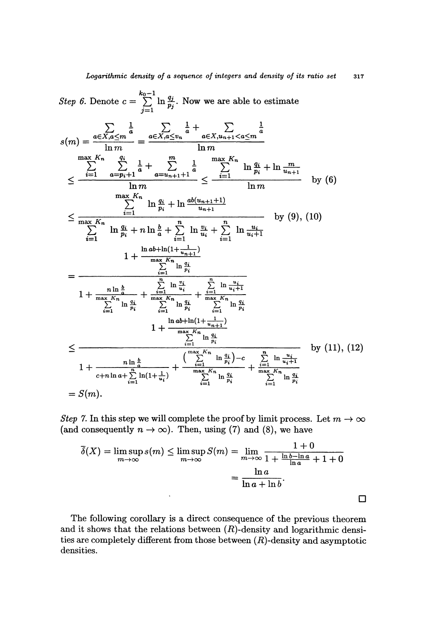Step 6. Denote 
$$
c = \sum_{j=1}^{k_0-1} \ln \frac{q_j}{p_j}
$$
. Now we are able to estimate  
\n
$$
s(m) = \frac{\sum_{k=1}^{k_0-1} \frac{1}{m} \sum_{j=1}^{m} \frac{1}{m} + \sum_{k=1}^{k_0} \frac{1}{m} \frac{1}{m}}{\ln m}
$$
\n
$$
\leq \frac{\sum_{i=1}^{k_0-1} \frac{1}{a-p_i+1} \frac{1}{a} + \sum_{k=1}^{m} \frac{1}{a}}{m} \leq \frac{\sum_{i=1}^{k_0} \ln \frac{q_i}{p_i} + \ln \frac{m}{u_{n+1}}}{\ln m}
$$
\n
$$
\leq \frac{\sum_{i=1}^{k_0} \ln \frac{q_i}{p_i} + \ln \frac{ab(u_{n+1}+1)}{u_{n+1}}}{\sum_{i=1}^{k_0} \ln \frac{q_i}{p_i} + \ln \frac{ab(u_{n+1}+1)}{u_{n+1}}}
$$
by (6)\n
$$
\sum_{i=1}^{k_0-1} \ln \frac{q_i}{p_i} + n \ln \frac{b}{a} + \sum_{i=1}^{n} \ln \frac{v_i}{u_i} + \sum_{i=1}^{n} \ln \frac{u_i}{u_i+1}
$$
by (9), (10)\n
$$
1 + \frac{\frac{1}{k_0} \ln \frac{b}{k_0} + \frac{1}{k_0} \ln \frac{u_i}{p_i}}{\sum_{i=1}^{k_0} \ln \frac{q_i}{p_i}} + \frac{\sum_{i=1}^{k_0} \ln \frac{u_i}{q_i}}{\sum_{i=1}^{k_0} \ln \frac{q_i}{p_i}} \sum_{i=1}^{k_0} \ln \frac{q_i}{p_i}}
$$
\n
$$
1 + \frac{\frac{1}{k_0} \ln \ln(1 + \frac{1}{u_{n+1}})}{\sum_{i=1}^{k_0} \ln \frac{q_i}{p_i}} + \frac{\sum_{i=1}^{k_0} \ln \frac{q_i}{p_i}}{\sum_{i=1}^{k_0} \ln \frac{q_i}{p_i}}
$$
\n
$$
1 + \frac{\frac{1}{k_0} \ln \frac{b}{k_0}}{\sum_{i=1}^{k_0} \ln \frac{q_i}{p
$$

Step 7. In this step we will complete the proof by limit process. Let  $m \to \infty$ (and consequently  $n \to \infty$ ). Then, using (7) and (8), we have

$$
\overline{\delta}(X) = \limsup_{m \to \infty} s(m) \le \limsup_{m \to \infty} S(m) = \lim_{m \to \infty} \frac{1+0}{1 + \frac{\ln b - \ln a}{\ln a} + 1 + 0}
$$

$$
= \frac{\ln a}{\ln a + \ln b}.
$$

The following corollary is a direct consequence of the previous theorem and it shows that the relations between  $(R)$ -density and logarithmic densities are completely different from those between  $(R)$ -density and asymptotic densities.